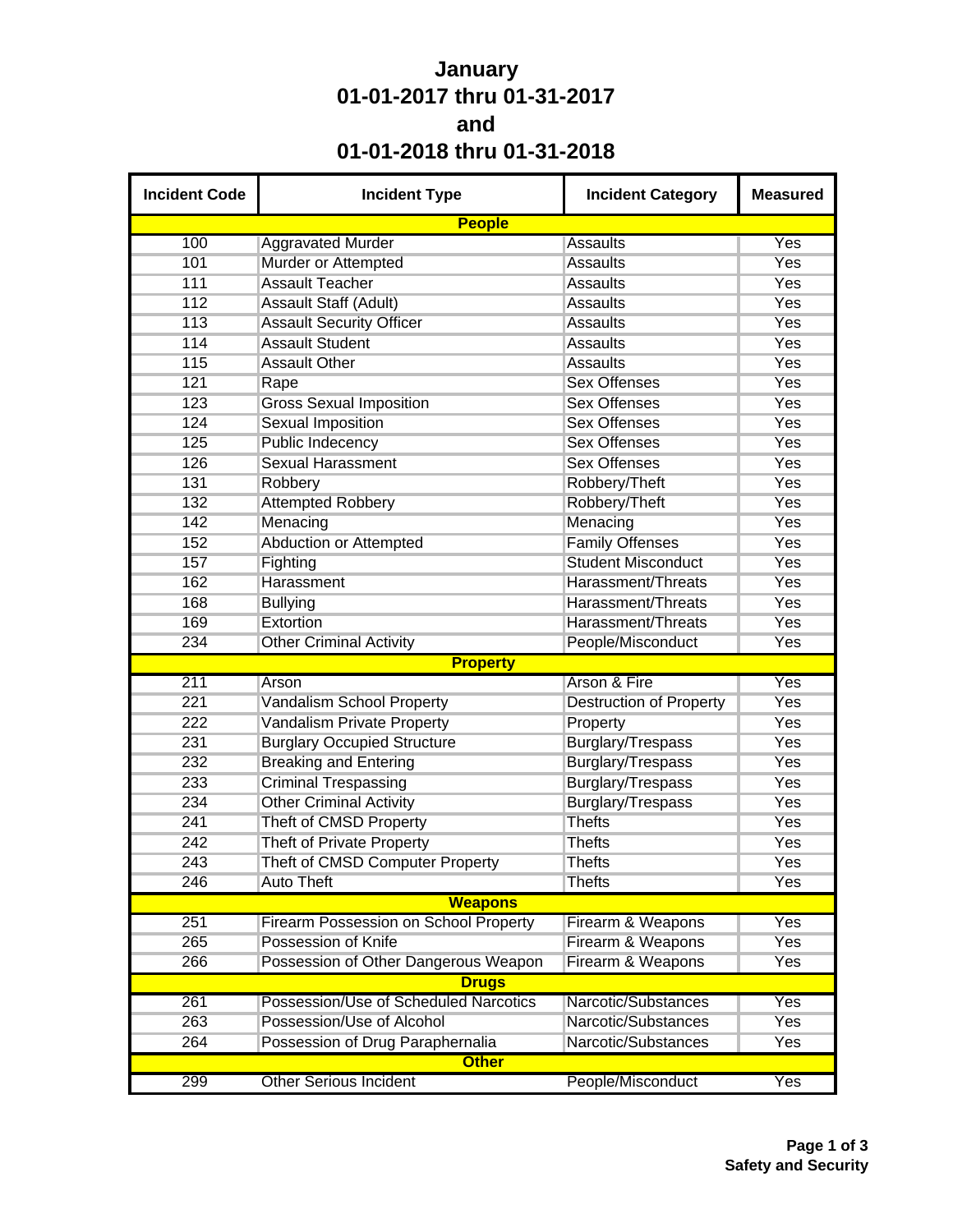## **January 01-01-2017 thru 01-31-2017 and 01-01-2018 thru 01-31-2018**

| <b>Incident Code</b> | <b>Incident Type</b>                         | <b>Incident Category</b>       | <b>Measured</b> |  |  |
|----------------------|----------------------------------------------|--------------------------------|-----------------|--|--|
|                      | <b>People</b>                                |                                |                 |  |  |
| 100                  | <b>Aggravated Murder</b>                     | <b>Assaults</b>                | Yes             |  |  |
| 101                  | Murder or Attempted                          | <b>Assaults</b>                | <b>Yes</b>      |  |  |
| 111                  | <b>Assault Teacher</b>                       | <b>Assaults</b>                | Yes             |  |  |
| 112                  | Assault Staff (Adult)                        | <b>Assaults</b>                | Yes             |  |  |
| 113                  | <b>Assault Security Officer</b>              | <b>Assaults</b>                | Yes             |  |  |
| 114                  | <b>Assault Student</b>                       | <b>Assaults</b>                | <b>Yes</b>      |  |  |
| 115                  | <b>Assault Other</b>                         | <b>Assaults</b>                | <b>Yes</b>      |  |  |
| 121                  | Rape                                         | <b>Sex Offenses</b>            | Yes             |  |  |
| 123                  | <b>Gross Sexual Imposition</b>               | <b>Sex Offenses</b>            | Yes             |  |  |
| 124                  | <b>Sexual Imposition</b>                     | <b>Sex Offenses</b>            | <b>Yes</b>      |  |  |
| 125                  | <b>Public Indecency</b>                      | <b>Sex Offenses</b>            | Yes             |  |  |
| 126                  | <b>Sexual Harassment</b>                     | <b>Sex Offenses</b>            | Yes             |  |  |
| 131                  | Robbery                                      | Robbery/Theft                  | Yes             |  |  |
| 132                  | <b>Attempted Robbery</b>                     | Robbery/Theft                  | <b>Yes</b>      |  |  |
| 142                  | Menacing                                     | Menacing                       | Yes             |  |  |
| 152                  | <b>Abduction or Attempted</b>                | <b>Family Offenses</b>         | Yes             |  |  |
| 157                  | Fighting                                     | <b>Student Misconduct</b>      | Yes             |  |  |
| 162                  | Harassment                                   | Harassment/Threats             | Yes             |  |  |
| 168                  | <b>Bullying</b>                              | Harassment/Threats             | Yes             |  |  |
| 169                  | Extortion                                    | Harassment/Threats             | Yes             |  |  |
| 234                  | <b>Other Criminal Activity</b>               | People/Misconduct              | Yes             |  |  |
|                      | <b>Property</b>                              |                                |                 |  |  |
| 211                  | Arson                                        | Arson & Fire                   | Yes             |  |  |
| 221                  | Vandalism School Property                    | <b>Destruction of Property</b> | <b>Yes</b>      |  |  |
| 222                  | <b>Vandalism Private Property</b>            | Property                       | Yes             |  |  |
| 231                  | <b>Burglary Occupied Structure</b>           | Burglary/Trespass              | Yes             |  |  |
| 232                  | <b>Breaking and Entering</b>                 | <b>Burglary/Trespass</b>       | Yes             |  |  |
| 233                  | <b>Criminal Trespassing</b>                  | Burglary/Trespass              | <b>Yes</b>      |  |  |
| 234                  | <b>Other Criminal Activity</b>               | <b>Burglary/Trespass</b>       | Yes             |  |  |
| 241                  | Theft of CMSD Property                       | <b>Thefts</b>                  | Yes             |  |  |
| 242                  | <b>Theft of Private Property</b>             | <b>Thefts</b>                  | Yes             |  |  |
| 243                  | Theft of CMSD Computer Property              | <b>Thefts</b>                  | Yes             |  |  |
| 246                  | <b>Auto Theft</b>                            | <b>Thefts</b>                  | Yes             |  |  |
|                      | <b>Weapons</b>                               |                                |                 |  |  |
| 251                  | <b>Firearm Possession on School Property</b> | Firearm & Weapons              | <b>Yes</b>      |  |  |
| 265                  | Possession of Knife                          | Firearm & Weapons              | <b>Yes</b>      |  |  |
| 266                  | Possession of Other Dangerous Weapon         | Firearm & Weapons              | Yes             |  |  |
|                      | <b>Drugs</b>                                 |                                |                 |  |  |
| 261                  | Possession/Use of Scheduled Narcotics        | Narcotic/Substances            | Yes             |  |  |
| 263                  | Possession/Use of Alcohol                    | Narcotic/Substances            | <b>Yes</b>      |  |  |
| 264                  | Possession of Drug Paraphernalia             | Yes                            |                 |  |  |
|                      | <b>Other</b>                                 |                                |                 |  |  |
| 299                  | <b>Other Serious Incident</b>                | People/Misconduct              | Yes             |  |  |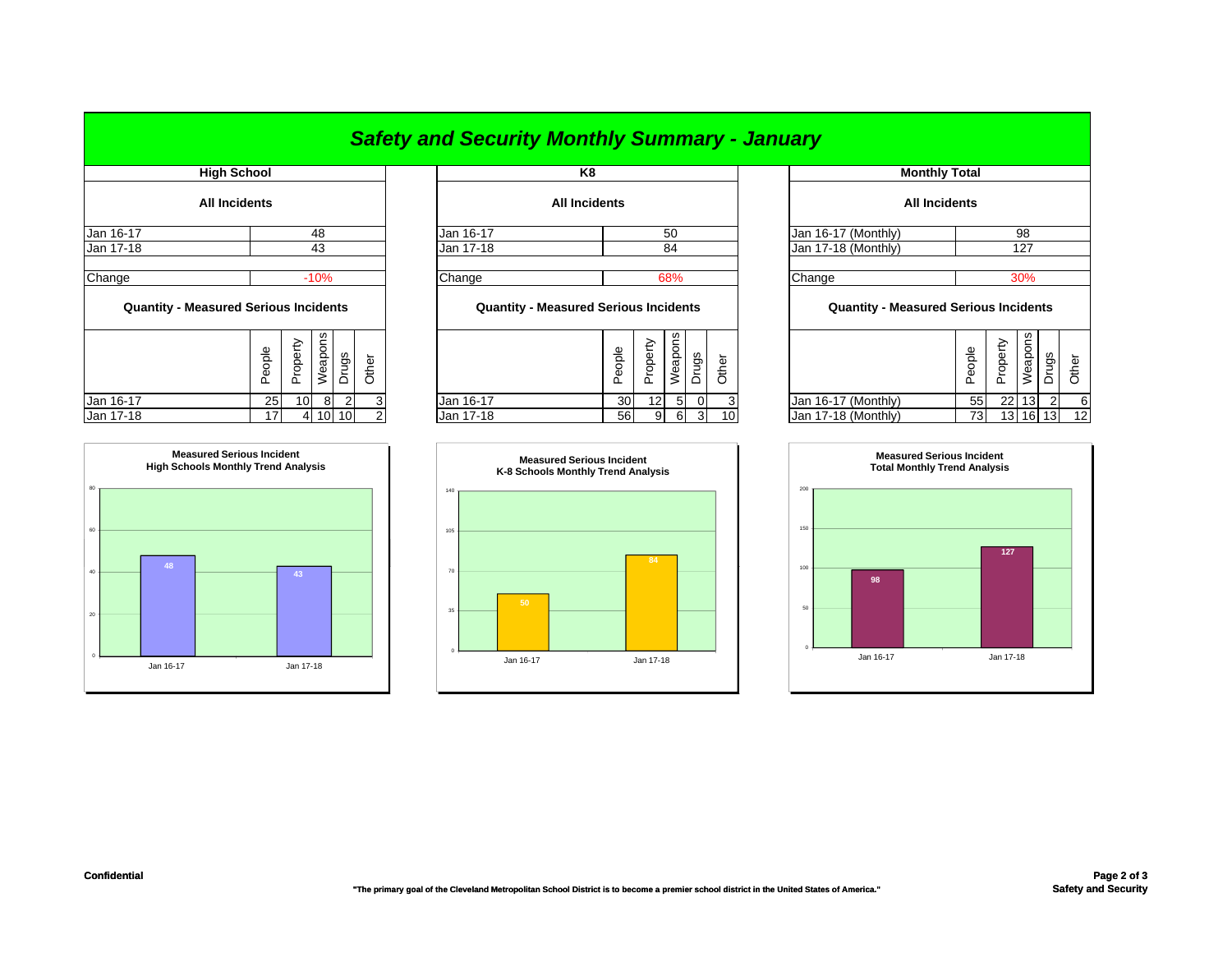|                                              |                      |        |                   |         |                |       | <b>Safety and Security Monthly Summary - January</b> |                      |        |                            |         |                |       |                                              |        |          |         |                |       |
|----------------------------------------------|----------------------|--------|-------------------|---------|----------------|-------|------------------------------------------------------|----------------------|--------|----------------------------|---------|----------------|-------|----------------------------------------------|--------|----------|---------|----------------|-------|
|                                              | <b>High School</b>   |        |                   |         |                |       |                                                      | K8                   |        |                            |         |                |       | <b>Monthly Total</b>                         |        |          |         |                |       |
|                                              | <b>All Incidents</b> |        |                   |         |                |       |                                                      | <b>All Incidents</b> |        |                            |         |                |       | <b>All Incidents</b>                         |        |          |         |                |       |
| Jan 16-17                                    |                      |        |                   | 48      |                |       | Jan 16-17                                            |                      |        |                            | 50      |                |       | Jan 16-17 (Monthly)                          | 98     |          |         |                |       |
| Jan 17-18                                    |                      |        |                   | 43      |                |       | Jan 17-18                                            |                      |        |                            | 84      |                |       | Jan 17-18 (Monthly)                          | 127    |          |         |                |       |
| Change                                       |                      |        |                   | $-10%$  |                |       | Change                                               |                      |        |                            | 68%     |                |       | Change                                       |        |          | 30%     |                |       |
| <b>Quantity - Measured Serious Incidents</b> |                      |        |                   |         |                |       | <b>Quantity - Measured Serious Incidents</b>         |                      |        |                            |         |                |       | <b>Quantity - Measured Serious Incidents</b> |        |          |         |                |       |
|                                              |                      | People | perty<br>$\Omega$ | Weapons | Drugs          | Other |                                                      |                      | People | <i>roperty</i><br>$\Omega$ | Weapons | Drugs          | Other |                                              | People | Property | Weapons | Drugs          | Other |
| Jan 16-17                                    |                      | 25     | 10                | 8       | $\overline{2}$ |       | Jan 16-17                                            |                      | 30     | 12 <sub>1</sub>            | 5       | $\overline{0}$ |       | Jan 16-17 (Monthly)                          | 55     |          | 22 13   | $\overline{2}$ |       |
| Jan 17-18                                    |                      | 17     |                   | 4 10 10 |                |       | Jan 17-18                                            |                      | 56     | 9                          | 6       | $\mathbf{3}$   | 10    | Jan 17-18 (Monthly)                          | 73     |          | 13 16   | 13             | 12    |

| <b>Monthly Total</b>       |                                                     |          |         |                |       |  |  |  |  |  |  |  |  |
|----------------------------|-----------------------------------------------------|----------|---------|----------------|-------|--|--|--|--|--|--|--|--|
| <b>All Incidents</b>       |                                                     |          |         |                |       |  |  |  |  |  |  |  |  |
| Jan 16-17 (Monthly)<br>98  |                                                     |          |         |                |       |  |  |  |  |  |  |  |  |
| Jan 17-18 (Monthly)<br>127 |                                                     |          |         |                |       |  |  |  |  |  |  |  |  |
| Change                     | 30%<br><b>Quantity - Measured Serious Incidents</b> |          |         |                |       |  |  |  |  |  |  |  |  |
|                            | People                                              | Property | Weapons | Drugs          | Other |  |  |  |  |  |  |  |  |
| Jan 16-17 (Monthly)        | 55                                                  | 22       | 13      | $\overline{2}$ | 6     |  |  |  |  |  |  |  |  |
| Jan 17-18 (Monthly)        | 73                                                  | 13       | 16      | 13             | 12    |  |  |  |  |  |  |  |  |



## *Safety and Security Monthly Summary - January*

|           | ople<br>õ<br>n | roperty<br>۵ | <b>ons</b><br>Weap | Drugs | Dather |
|-----------|----------------|--------------|--------------------|-------|--------|
| Jan 16-17 | 25             | 10           | 8                  | ◠     |        |
| Jan 17-18 |                |              |                    |       |        |



|          |           | <b>Measured Serious Incident</b><br>K-8 Schools Monthly Trend Analysis |
|----------|-----------|------------------------------------------------------------------------|
| 140      |           |                                                                        |
| 105      |           |                                                                        |
|          |           |                                                                        |
| 70       |           | 84                                                                     |
|          |           |                                                                        |
| 35       | 50        |                                                                        |
|          |           |                                                                        |
| $\theta$ | Jan 16-17 | Jan 17-18                                                              |